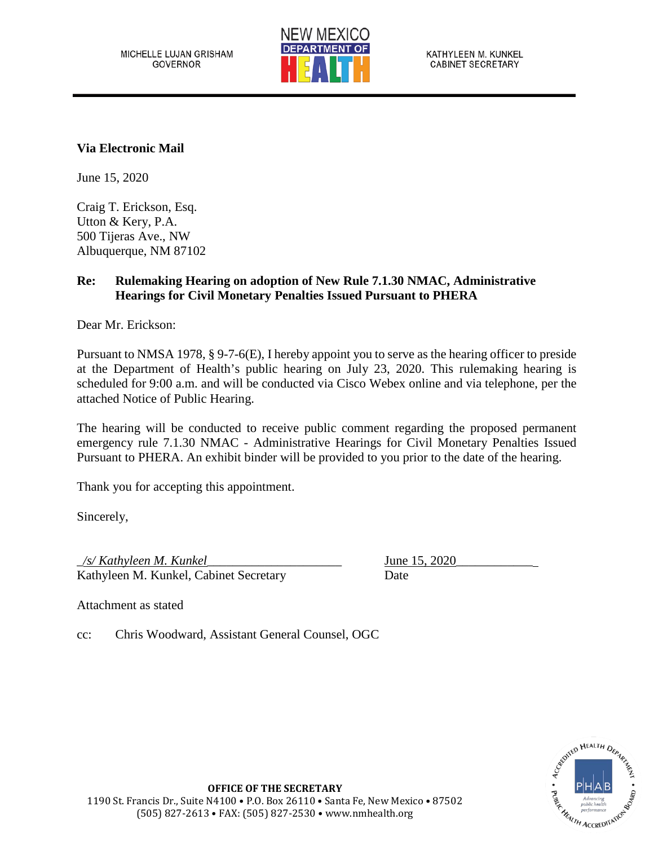

## **Via Electronic Mail**

June 15, 2020

Craig T. Erickson, Esq. Utton & Kery, P.A. 500 Tijeras Ave., NW Albuquerque, NM 87102

## **Re: Rulemaking Hearing on adoption of New Rule 7.1.30 NMAC, Administrative Hearings for Civil Monetary Penalties Issued Pursuant to PHERA**

Dear Mr. Erickson:

Pursuant to NMSA 1978, § 9-7-6(E), I hereby appoint you to serve as the hearing officer to preside at the Department of Health's public hearing on July 23, 2020. This rulemaking hearing is scheduled for 9:00 a.m. and will be conducted via Cisco Webex online and via telephone, per the attached Notice of Public Hearing.

The hearing will be conducted to receive public comment regarding the proposed permanent emergency rule 7.1.30 NMAC - Administrative Hearings for Civil Monetary Penalties Issued Pursuant to PHERA. An exhibit binder will be provided to you prior to the date of the hearing.

Thank you for accepting this appointment.

Sincerely,

\_*/s/ Kathyleen M. Kunkel*\_\_\_\_\_\_\_\_\_\_\_\_\_\_\_\_\_\_\_\_\_ June 15, 2020\_\_\_\_\_\_\_\_\_\_\_\_ Kathyleen M. Kunkel, Cabinet Secretary Date

Attachment as stated

cc: Chris Woodward, Assistant General Counsel, OGC